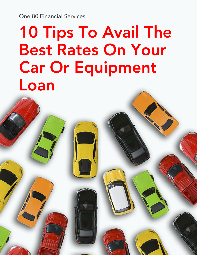One 80 Financial Services

# 10 Tips To Avail The Best Rates On Your Car Or Equipment Loan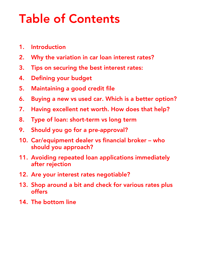## Table of Contents

- 1. [Introduction](#page-2-0)
- 2. Why the [variation](#page-3-0) in car loan interest rates?
- 3. Tips on [securing](#page-5-0) the best interest rates:
- 4. [Defining](#page-6-0) your budget
- 5. [Maintaining](#page-7-0) a good credit file
- 6. Buying a new vs used car. Which is a better [option?](#page-8-0)
- 7. Having [excellent](#page-9-0) net worth. How does that help?
- 8. Type of loan: [short-term](#page-10-0) vs long term
- 9. Should you go for a [pre-approval?](#page-11-0)
- 10. [Car/equipment](#page-12-0) dealer vs financial broker who should you approach?
- 11. Avoiding repeated loan applications [immediately](#page-13-0) after rejection
- 12. Are your interest rates [negotiable?](#page-14-0)
- 13. Shop around a bit and check for [various](#page-15-0) rates plus offers
- 14. The [bottom](#page-16-0) line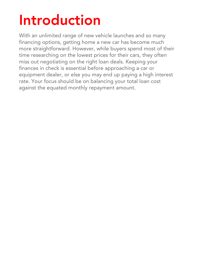# <span id="page-2-0"></span>Introduction

With an unlimited range of new vehicle launches and so many financing options, getting home a new car has become much more straightforward. However, while buyers spend most of their time researching on the lowest prices for their cars, they often miss out negotiating on the right loan deals. Keeping your finances in check is essential before approaching a car or equipment dealer, or else you may end up paying a high interest rate. Your focus should be on balancing your total loan cost against the equated monthly repayment amount.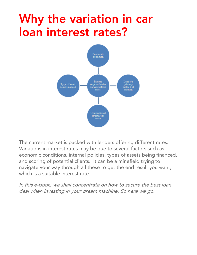### <span id="page-3-0"></span>Why the variation in car loan interest rates?



The current market is packed with lenders offering different rates. Variations in interest rates may be due to several factors such as economic conditions, internal policies, types of assets being financed, and scoring of potential clients. It can be a minefield trying to navigate your way through all these to get the end result you want, which is a suitable interest rate.

In this e-book, we shall concentrate on how to secure the best loan deal when investing in your dream machine. So here we go.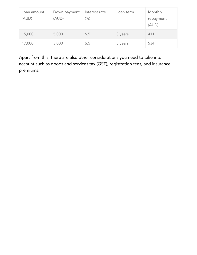| Loan amount<br>(AUD) | Down payment<br>(AUD) | Interest rate<br>$(\%)$ | Loan term | Monthly<br>repayment<br>(AUD) |
|----------------------|-----------------------|-------------------------|-----------|-------------------------------|
| 15,000               | 5,000                 | 6.5                     | 3 years   | 411                           |
| 17,000               | 3,000                 | 6.5                     | 3 years   | 534                           |

Apart from this, there are also other considerations you need to take into account such as goods and services tax (GST), registration fees, and insurance premiums.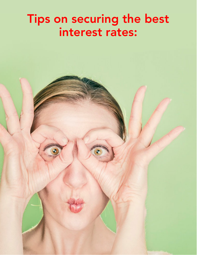#### <span id="page-5-0"></span>Tips on securing the best interest rates: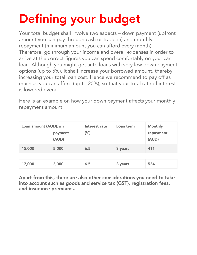# <span id="page-6-0"></span>Defining your budget

Your total budget shall involve two aspects – down payment (upfront amount you can pay through cash or trade-in) and monthly repayment (minimum amount you can afford every month). Therefore, go through your income and overall expenses in order to arrive at the correct figures you can spend comfortably on your car loan. Although you might get auto loans with very low down payment options (up to 5%), it shall increase your borrowed amount, thereby increasing your total loan cost. Hence we recommend to pay off as much as you can afford (up to 20%), so that your total rate of interest is lowered overall.

Here is an example on how your down payment affects your monthly repayment amount:

| Loan amount (AUD) wn | payment<br>(AUD) | Interest rate<br>(% ) | Loan term | <b>Monthly</b><br>repayment<br>(AUD) |
|----------------------|------------------|-----------------------|-----------|--------------------------------------|
| 15,000               | 5,000            | 6.5                   | 3 years   | 411                                  |
|                      |                  |                       |           |                                      |
| 17,000               | 3,000            | 6.5                   | 3 years   | 534                                  |

Apart from this, there are also other considerations you need to take into account such as goods and service tax (GST), registration fees, and insurance premiums.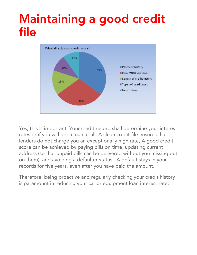#### <span id="page-7-0"></span>Maintaining a good credit file



Yes, this is important. Your credit record shall determine your interest rates or if you will get a loan at all. A clean credit file ensures that lenders do not charge you an exceptionally high rate, A good credit score can be achieved by paying bills on time, updating current address (so that unpaid bills can be delivered without you missing out on them), and avoiding a defaulter status. A default stays in your records for five years, even after you have paid the amount.

Therefore, being proactive and regularly checking your credit history is paramount in reducing your car or equipment loan interest rate.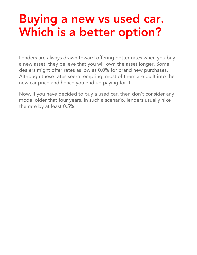#### <span id="page-8-0"></span>Buying a new vs used car. Which is a better option?

Lenders are always drawn toward offering better rates when you buy a new asset; they believe that you will own the asset longer. Some dealers might offer rates as low as 0.0% for brand new purchases. Although these rates seem tempting, most of them are built into the new car price and hence you end up paying for it.

Now, if you have decided to buy a used car, then don't consider any model older that four years. In such a scenario, lenders usually hike the rate by at least 0.5%.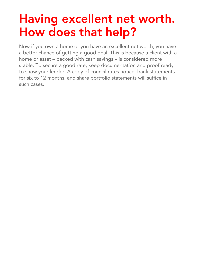### <span id="page-9-0"></span>Having excellent net worth. How does that help?

Now if you own a home or you have an excellent net worth, you have a better chance of getting a good deal. This is because a client with a home or asset – backed with cash savings – is considered more stable. To secure a good rate, keep documentation and proof ready to show your lender. A copy of council rates notice, bank statements for six to 12 months, and share portfolio statements will suffice in such cases.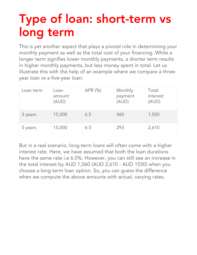## <span id="page-10-0"></span>Type of loan: short-term vs long term

This is yet another aspect that plays a pivotal role in determining your monthly payment as well as the total cost of your financing. While a longer term signifies lower monthly payments, a shorter term results in higher monthly payments, but less money spent in total. Let us illustrate this with the help of an example where we compare a threeyear loan vs a five-year loan:

| Loan term | Loan<br>amount<br>(AUD) | APR (%) | Monthly<br>payment<br>(AUD) | Total<br>interest<br>(AUD) |
|-----------|-------------------------|---------|-----------------------------|----------------------------|
| 3 years   | 15,000                  | 6.5     | 460                         | 1,550                      |
| 5 years   | 15,000                  | 6.5     | 293                         | 2,610                      |

But in a real scenario, long-term loans will often come with a higher interest rate. Here, we have assumed that both the loan durations have the same rate i.e 6.5%. However, you can still see an increase in the total interest by AUD 1,060 (AUD 2,610 - AUD 1550) when you choose a long-term loan option. So, you can guess the difference when we compute the above amounts with actual, varying rates.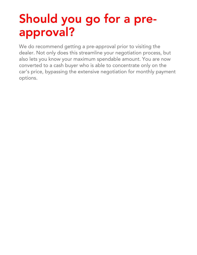## <span id="page-11-0"></span>Should you go for a preapproval?

We do recommend getting a pre-approval prior to visiting the dealer. Not only does this streamline your negotiation process, but also lets you know your maximum spendable amount. You are now converted to a cash buyer who is able to concentrate only on the car's price, bypassing the extensive negotiation for monthly payment options.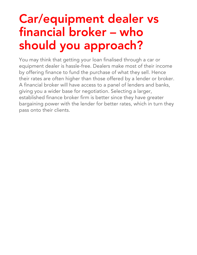### <span id="page-12-0"></span>Car/equipment dealer vs financial broker – who should you approach?

You may think that getting your loan finalised through a car or equipment dealer is hassle-free. Dealers make most of their income by offering finance to fund the purchase of what they sell. Hence their rates are often higher than those offered by a lender or broker. A financial broker will have access to a panel of lenders and banks, giving you a wider base for negotiation. Selecting a larger, established finance broker firm is better since they have greater bargaining power with the lender for better rates, which in turn they pass onto their clients.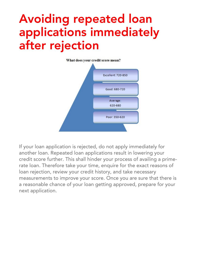### <span id="page-13-0"></span>Avoiding repeated loan applications immediately after rejection



If your loan application is rejected, do not apply immediately for another loan. Repeated loan applications result in lowering your credit score further. This shall hinder your process of availing a primerate loan. Therefore take your time, enquire for the exact reasons of loan rejection, review your credit history, and take necessary measurements to improve your score. Once you are sure that there is a reasonable chance of your loan getting approved, prepare for your next application.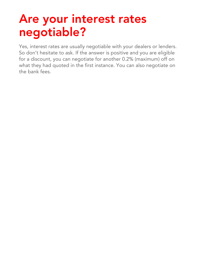## <span id="page-14-0"></span>Are your interest rates negotiable?

Yes, interest rates are usually negotiable with your dealers or lenders. So don't hesitate to ask. If the answer is positive and you are eligible for a discount, you can negotiate for another 0.2% (maximum) off on what they had quoted in the first instance. You can also negotiate on the bank fees.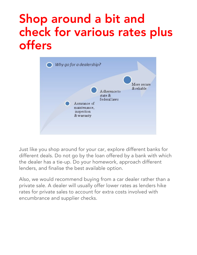### <span id="page-15-0"></span>Shop around a bit and check for various rates plus offers



Just like you shop around for your car, explore different banks for different deals. Do not go by the loan offered by a bank with which the dealer has a tie-up. Do your homework, approach different lenders, and finalise the best available option.

Also, we would recommend buying from a car dealer rather than a private sale. A dealer will usually offer lower rates as lenders hike rates for private sales to account for extra costs involved with encumbrance and supplier checks.